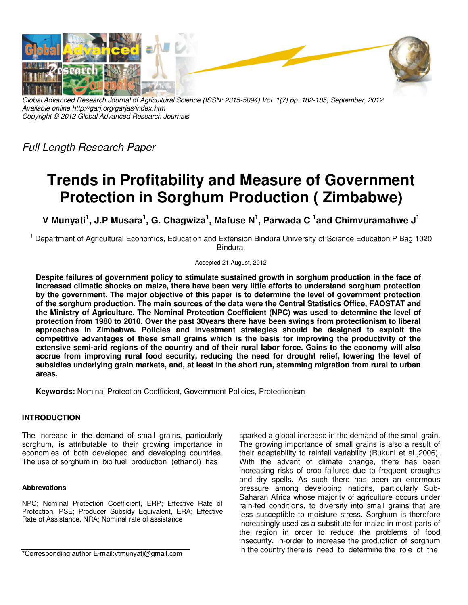

*Global Advanced Research Journal of Agricultural Science (ISSN: 2315-5094) Vol. 1(7) pp. 182-185, September, 2012 Available online http://garj.org/garjas/index.htm Copyright © 2012 Global Advanced Research Journals* 

*Full Length Research Paper* 

# **Trends in Profitability and Measure of Government Protection in Sorghum Production ( Zimbabwe)**

**V Munyati<sup>1</sup> , J.P Musara<sup>1</sup> , G. Chagwiza<sup>1</sup> , Mafuse N<sup>1</sup> , Parwada C <sup>1</sup> and Chimvuramahwe J<sup>1</sup>**

<sup>1</sup> Department of Agricultural Economics, Education and Extension Bindura University of Science Education P Bag 1020 Bindura.

Accepted 21 August, 2012

**Despite failures of government policy to stimulate sustained growth in sorghum production in the face of increased climatic shocks on maize, there have been very little efforts to understand sorghum protection by the government. The major objective of this paper is to determine the level of government protection of the sorghum production. The main sources of the data were the Central Statistics Office, FAOSTAT and the Ministry of Agriculture. The Nominal Protection Coefficient (NPC) was used to determine the level of protection from 1980 to 2010. Over the past 30years there have been swings from protectionism to liberal approaches in Zimbabwe. Policies and investment strategies should be designed to exploit the competitive advantages of these small grains which is the basis for improving the productivity of the extensive semi-arid regions of the country and of their rural labor force. Gains to the economy will also accrue from improving rural food security, reducing the need for drought relief, lowering the level of subsidies underlying grain markets, and, at least in the short run, stemming migration from rural to urban areas.** 

**Keywords:** Nominal Protection Coefficient, Government Policies, Protectionism

## **INTRODUCTION**

The increase in the demand of small grains, particularly sorghum, is attributable to their growing importance in economies of both developed and developing countries. The use of sorghum in bio fuel production (ethanol) has

#### **Abbrevations**

NPC; Nominal Protection Coefficient, ERP; Effective Rate of Protection, PSE; Producer Subsidy Equivalent, ERA; Effective Rate of Assistance, NRA; Nominal rate of assistance

\*Corresponding author E-mail:vtmunyati@gmail.com

sparked a global increase in the demand of the small grain. The growing importance of small grains is also a result of their adaptability to rainfall variability (Rukuni et al.,2006). With the advent of climate change, there has been increasing risks of crop failures due to frequent droughts and dry spells. As such there has been an enormous pressure among developing nations, particularly Sub-Saharan Africa whose majority of agriculture occurs under rain-fed conditions, to diversify into small grains that are less susceptible to moisture stress. Sorghum is therefore increasingly used as a substitute for maize in most parts of the region in order to reduce the problems of food insecurity. In-order to increase the production of sorghum in the country there is need to determine the role of the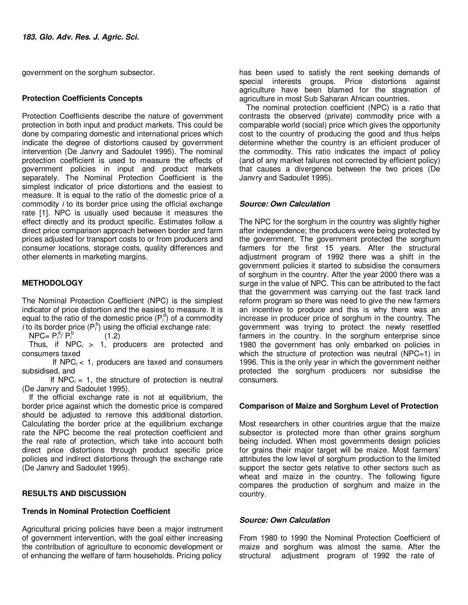government on the sorghum subsector.

#### **Protection Coefficients Concepts**

Protection Coefficients describe the nature of government protection in both input and product markets. This could be done by comparing domestic and international prices which indicate the degree of distortions caused by government intervention (De Janvry and Sadoulet 1995). The nominal protection coefficient is used to measure the effects of government policies in input and product markets separately. The Nominal Protection Coefficient is the simplest indicator of price distortions and the easiest to measure. It is equal to the ratio of the domestic price of a commodity *i* to its border price using the official exchange rate [1]. NPC is usually used because it measures the effect directly and its product specific. Estimates follow a direct price comparison approach between border and farm prices adjusted for transport costs to or from producers and consumer locations, storage costs, quality differences and other elements in marketing margins.

## **METHODOLOGY**

The Nominal Protection Coefficient (NPC) is the simplest indicator of price distortion and the easiest to measure. It is equal to the ratio of the domestic price  $(P_i^d)$  of a commodity *i* to its border price  $(P_i^b)$  using the official exchange rate:

 $NPC = P_i^d / P_i^d$  $(1.2)$ 

Thus, if  $NPC_i > 1$ , producers are protected and consumers taxed

If  $NPC_i < 1$ , producers are taxed and consumers subsidised, and

If  $NPC_i = 1$ , the structure of protection is neutral (De Janvry and Sadoulet 1995).

If the official exchange rate is not at equilibrium, the border price against which the domestic price is compared should be adjusted to remove this additional distortion. Calculating the border price at the equilibrium exchange rate the NPC become the real protection coefficient and the real rate of protection, which take into account both direct price distortions through product specific price policies and indirect distortions through the exchange rate (De Janvry and Sadoulet 1995).

## **RESULTS AND DISCUSSION**

## **Trends in Nominal Protection Coefficient**

Agricultural pricing policies have been a major instrument of government intervention, with the goal either increasing the contribution of agriculture to economic development or of enhancing the welfare of farm households. Pricing policy

has been used to satisfy the rent seeking demands of special interests groups. Price distortions against agriculture have been blamed for the stagnation of agriculture in most Sub Saharan African countries.

The nominal protection coefficient (NPC) is a ratio that contrasts the observed (private) commodity price with a comparable world (social) price which gives the opportunity cost to the country of producing the good and thus helps determine whether the country is an efficient producer of the commodity. This ratio indicates the impact of policy (and of any market failures not corrected by efficient policy) that causes a divergence between the two prices (De Janvry and Sadoulet 1995).

## *Source: Own Calculation*

The NPC for the sorghum in the country was slightly higher after independence; the producers were being protected by the government. The government protected the sorghum farmers for the first 15 years. After the structural adjustment program of 1992 there was a shift in the government policies it started to subsidise the consumers of sorghum in the country. After the year 2000 there was a surge in the value of NPC. This can be attributed to the fact that the government was carrying out the fast track land reform program so there was need to give the new farmers an incentive to produce and this is why there was an increase in producer price of sorghum in the country. The government was trying to protect the newly resettled farmers in the country. In the sorghum enterprise since 1980 the government has only embarked on policies in which the structure of protection was neutral (NPC=1) in 1996. This is the only year in which the government neither protected the sorghum producers nor subsidise the consumers.

## **Comparison of Maize and Sorghum Level of Protection**

Most researchers in other countries argue that the maize subsector is protected more than other grains sorghum being included. When most governments design policies for grains their major target will be maize. Most farmers' attributes the low level of sorghum production to the limited support the sector gets relative to other sectors such as wheat and maize in the country. The following figure compares the production of sorghum and maize in the country.

#### *Source: Own Calculation*

From 1980 to 1990 the Nominal Protection Coefficient of maize and sorghum was almost the same. After the structural adjustment program of 1992 the rate of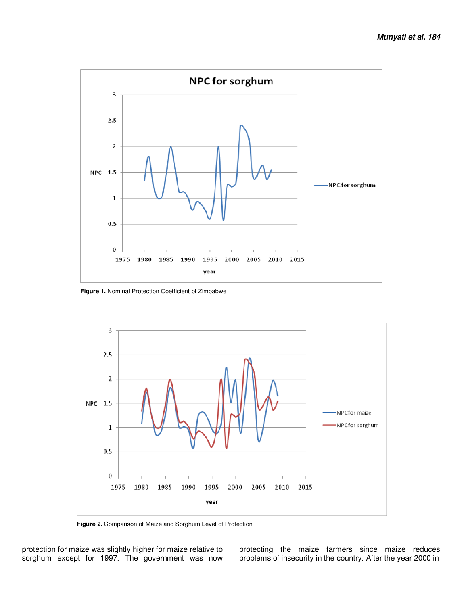

**Figure 1.** Nominal Protection Coefficient of Zimbabwe



**Figure 2.** Comparison of Maize and Sorghum Level of Protection

protection for maize was slightly higher for maize relative to sorghum except for 1997. The government was now

protecting the maize farmers since maize reduces problems of insecurity in the country. After the year 2000 in